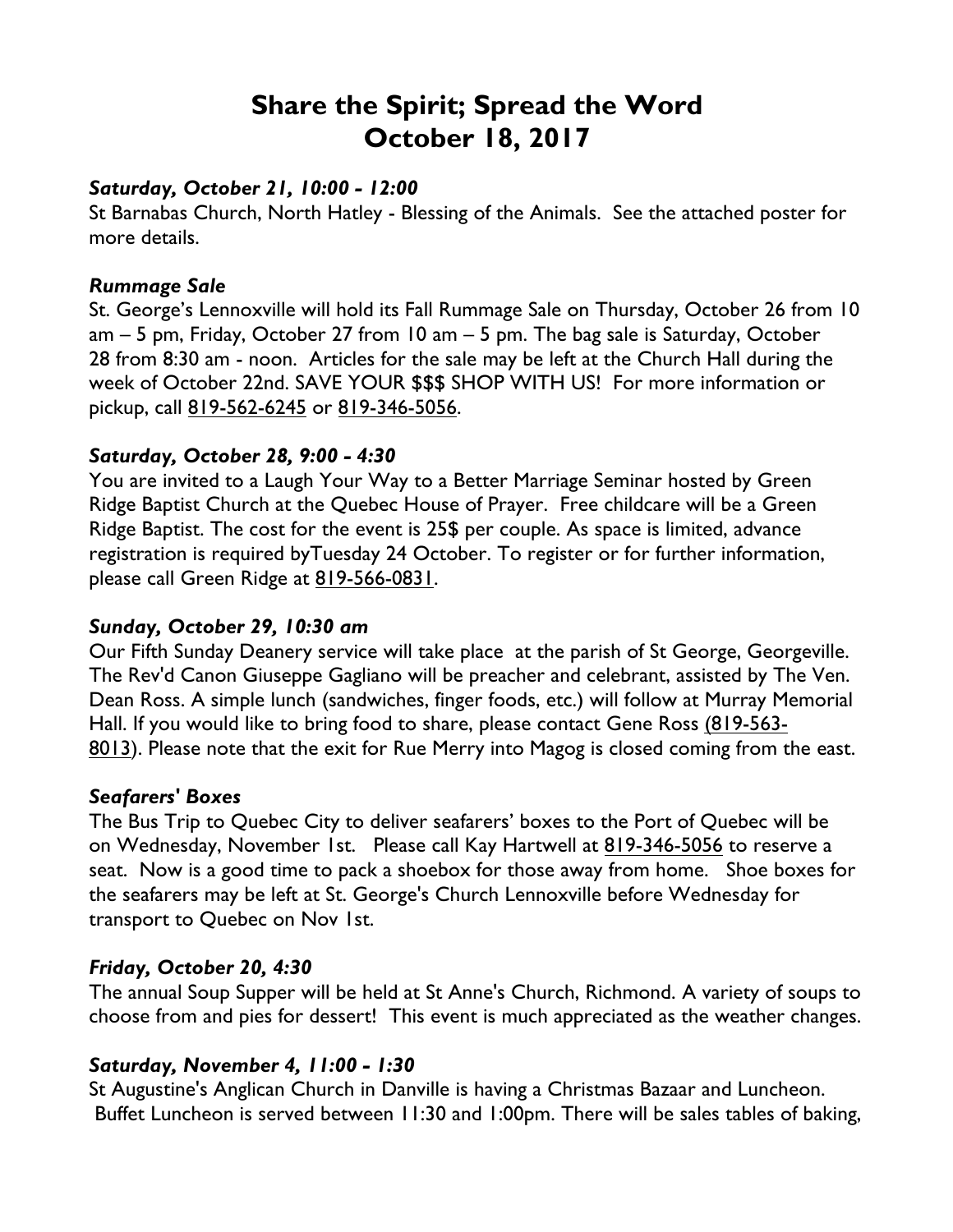# **Share the Spirit; Spread the Word October 18, 2017**

#### *Saturday, October 21, 10:00 - 12:00*

St Barnabas Church, North Hatley - Blessing of the Animals. See the attached poster for more details.

#### *Rummage Sale*

St. George's Lennoxville will hold its Fall Rummage Sale on Thursday, October 26 from 10 am – 5 pm, Friday, October 27 from 10 am – 5 pm. The bag sale is Saturday, October 28 from 8:30 am - noon. Articles for the sale may be left at the Church Hall during the week of October 22nd. SAVE YOUR \$\$\$ SHOP WITH US! For more information or pickup, call 819-562-6245 or 819-346-5056.

### *Saturday, October 28, 9:00 - 4:30*

You are invited to a Laugh Your Way to a Better Marriage Seminar hosted by Green Ridge Baptist Church at the Quebec House of Prayer. Free childcare will be a Green Ridge Baptist. The cost for the event is 25\$ per couple. As space is limited, advance registration is required byTuesday 24 October. To register or for further information, please call Green Ridge at 819-566-0831.

## *Sunday, October 29, 10:30 am*

Our Fifth Sunday Deanery service will take place at the parish of St George, Georgeville. The Rev'd Canon Giuseppe Gagliano will be preacher and celebrant, assisted by The Ven. Dean Ross. A simple lunch (sandwiches, finger foods, etc.) will follow at Murray Memorial Hall. If you would like to bring food to share, please contact Gene Ross (819-563- 8013). Please note that the exit for Rue Merry into Magog is closed coming from the east.

### *Seafarers' Boxes*

The Bus Trip to Quebec City to deliver seafarers' boxes to the Port of Quebec will be on Wednesday, November 1st. Please call Kay Hartwell at 819-346-5056 to reserve a seat. Now is a good time to pack a shoebox for those away from home. Shoe boxes for the seafarers may be left at St. George's Church Lennoxville before Wednesday for transport to Quebec on Nov 1st.

### *Friday, October 20, 4:30*

The annual Soup Supper will be held at St Anne's Church, Richmond. A variety of soups to choose from and pies for dessert! This event is much appreciated as the weather changes.

### *Saturday, November 4, 11:00 - 1:30*

St Augustine's Anglican Church in Danville is having a Christmas Bazaar and Luncheon. Buffet Luncheon is served between 11:30 and 1:00pm. There will be sales tables of baking,